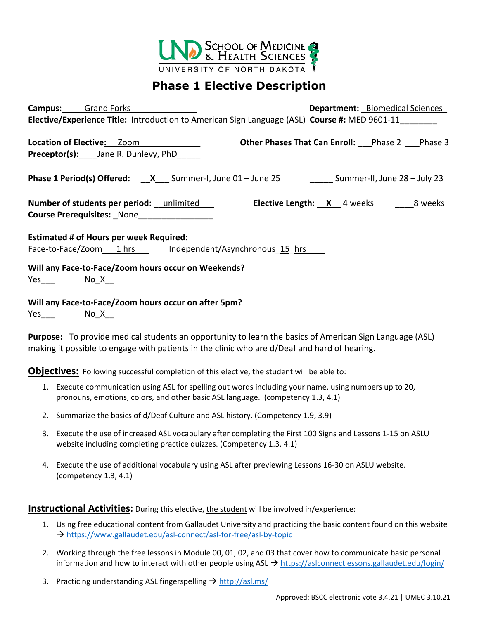

## **Phase 1 Elective Description**

| <b>Campus:</b> Grand Forks                                                          | <b>Department:</b> Biomedical Sciences                                                         |
|-------------------------------------------------------------------------------------|------------------------------------------------------------------------------------------------|
|                                                                                     | Elective/Experience Title: Introduction to American Sign Language (ASL) Course #: MED 9601-11  |
| <b>Location of Elective: Zoom</b>                                                   | <b>Other Phases That Can Enroll:</b> Phase 2 Phase 3                                           |
| <b>Preceptor(s):</b> Jane R. Dunlevy, PhD                                           |                                                                                                |
|                                                                                     | <b>Phase 1 Period(s) Offered:</b> $X$ Summer-I, June 01 - June 25 Summer-II, June 28 - July 23 |
| Number of students per period: __unlimited ___<br><b>Course Prerequisites: None</b> | <b>Elective Length:</b> X 4 weeks 28 weeks                                                     |
| <b>Estimated # of Hours per week Required:</b>                                      |                                                                                                |
|                                                                                     | Face-to-Face/Zoom 1 hrs Independent/Asynchronous 15 hrs                                        |
| Will any Face-to-Face/Zoom hours occur on Weekends?                                 |                                                                                                |
| $Yes$ No $X$                                                                        |                                                                                                |
| Will any Face-to-Face/Zoom hours occur on after 5pm?                                |                                                                                                |
| Yes_____    No_X___                                                                 |                                                                                                |

**Purpose:** To provide medical students an opportunity to learn the basics of American Sign Language (ASL) making it possible to engage with patients in the clinic who are d/Deaf and hard of hearing.

**Objectives:** Following successful completion of this elective, the student will be able to:

- 1. Execute communication using ASL for spelling out words including your name, using numbers up to 20, pronouns, emotions, colors, and other basic ASL language. (competency 1.3, 4.1)
- 2. Summarize the basics of d/Deaf Culture and ASL history. (Competency 1.9, 3.9)
- 3. Execute the use of increased ASL vocabulary after completing the First 100 Signs and Lessons 1-15 on ASLU website including completing practice quizzes. (Competency 1.3, 4.1)
- 4. Execute the use of additional vocabulary using ASL after previewing Lessons 16-30 on ASLU website. (competency 1.3, 4.1)

**Instructional Activities:** During this elective, the student will be involved in/experience:

- 1. Using free educational content from Gallaudet University and practicing the basic content found on this website <https://www.gallaudet.edu/asl-connect/asl-for-free/asl-by-topic>
- 2. Working through the free lessons in Module 00, 01, 02, and 03 that cover how to communicate basic personal information and how to interact with other people using ASL  $\rightarrow$  <https://aslconnectlessons.gallaudet.edu/login/>
- 3. Practicing understanding ASL fingerspelling  $\rightarrow$  <http://asl.ms/>